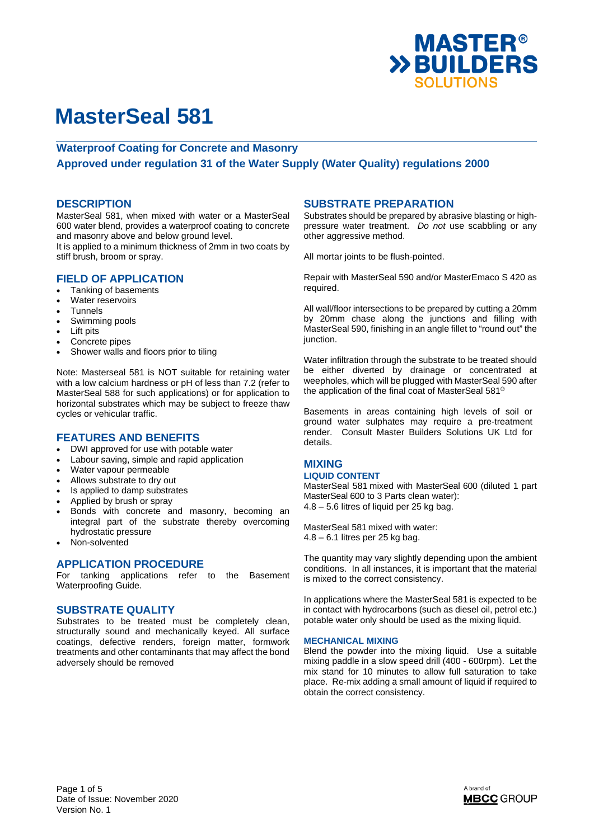

## **Waterproof Coating for Concrete and Masonry**

# **Approved under regulation 31 of the Water Supply (Water Quality) regulations 2000**

## **DESCRIPTION**

MasterSeal 581, when mixed with water or a MasterSeal 600 water blend, provides a waterproof coating to concrete and masonry above and below ground level.

It is applied to a minimum thickness of 2mm in two coats by stiff brush, broom or spray.

# **FIELD OF APPLICATION**

- Tanking of basements
- Water reservoirs
- Tunnels
- Swimming pools
- Lift pits
- Concrete pipes
- Shower walls and floors prior to tiling

Note: Masterseal 581 is NOT suitable for retaining water with a low calcium hardness or pH of less than 7.2 (refer to MasterSeal 588 for such applications) or for application to horizontal substrates which may be subject to freeze thaw cycles or vehicular traffic.

### **FEATURES AND BENEFITS**

- DWI approved for use with potable water
- Labour saving, simple and rapid application
- Water vapour permeable
- Allows substrate to dry out
- Is applied to damp substrates
- Applied by brush or spray
- Bonds with concrete and masonry, becoming an integral part of the substrate thereby overcoming hydrostatic pressure
- Non-solvented

## **APPLICATION PROCEDURE**

For tanking applications refer to the Basement Waterproofing Guide.

### **SUBSTRATE QUALITY**

Substrates to be treated must be completely clean, structurally sound and mechanically keyed. All surface coatings, defective renders, foreign matter, formwork treatments and other contaminants that may affect the bond adversely should be removed

## **SUBSTRATE PREPARATION**

Substrates should be prepared by abrasive blasting or highpressure water treatment. *Do not* use scabbling or any other aggressive method.

All mortar joints to be flush-pointed.

Repair with MasterSeal 590 and/or MasterEmaco S 420 as required.

All wall/floor intersections to be prepared by cutting a 20mm by 20mm chase along the junctions and filling with MasterSeal 590, finishing in an angle fillet to "round out" the junction.

Water infiltration through the substrate to be treated should be either diverted by drainage or concentrated at weepholes, which will be plugged with MasterSeal 590 after the application of the final coat of MasterSeal 581®

Basements in areas containing high levels of soil or ground water sulphates may require a pre-treatment render. Consult Master Builders Solutions UK Ltd for details.

# **MIXING**

### **LIQUID CONTENT**

MasterSeal 581 mixed with MasterSeal 600 (diluted 1 part MasterSeal 600 to 3 Parts clean water): 4.8 – 5.6 litres of liquid per 25 kg bag.

MasterSeal 581 mixed with water: 4.8 – 6.1 litres per 25 kg bag.

The quantity may vary slightly depending upon the ambient conditions. In all instances, it is important that the material is mixed to the correct consistency.

In applications where the MasterSeal 581 is expected to be in contact with hydrocarbons (such as diesel oil, petrol etc.) potable water only should be used as the mixing liquid.

#### **MECHANICAL MIXING**

Blend the powder into the mixing liquid. Use a suitable mixing paddle in a slow speed drill (400 - 600rpm). Let the mix stand for 10 minutes to allow full saturation to take place. Re-mix adding a small amount of liquid if required to obtain the correct consistency.

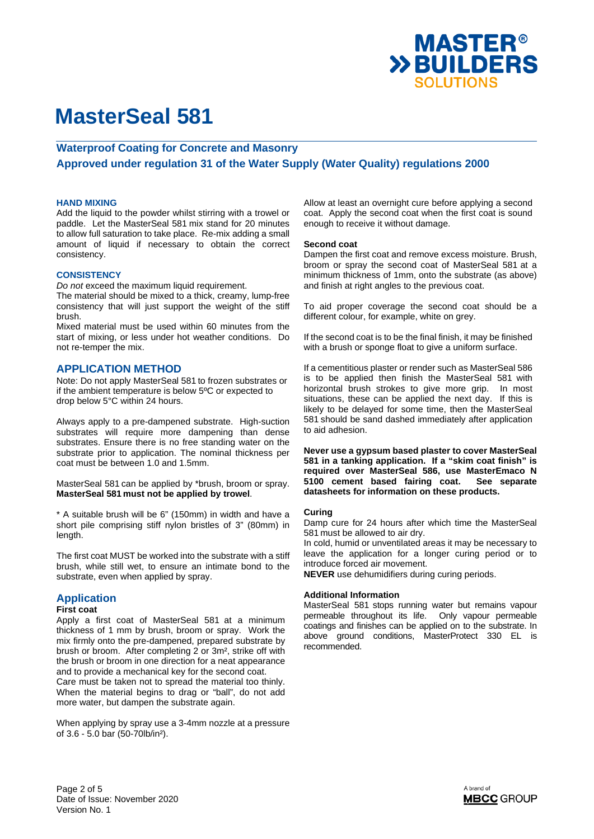

## **Waterproof Coating for Concrete and Masonry**

**Approved under regulation 31 of the Water Supply (Water Quality) regulations 2000** 

#### **HAND MIXING**

Add the liquid to the powder whilst stirring with a trowel or paddle. Let the MasterSeal 581 mix stand for 20 minutes to allow full saturation to take place. Re-mix adding a small amount of liquid if necessary to obtain the correct consistency.

#### **CONSISTENCY**

*Do not* exceed the maximum liquid requirement.

The material should be mixed to a thick, creamy, lump-free consistency that will just support the weight of the stiff brush.

Mixed material must be used within 60 minutes from the start of mixing, or less under hot weather conditions. Do not re-temper the mix.

### **APPLICATION METHOD**

Note: Do not apply MasterSeal 581 to frozen substrates or if the ambient temperature is below 5ºC or expected to drop below 5°C within 24 hours.

Always apply to a pre-dampened substrate. High-suction substrates will require more dampening than dense substrates. Ensure there is no free standing water on the substrate prior to application. The nominal thickness per coat must be between 1.0 and 1.5mm.

MasterSeal 581 can be applied by \*brush, broom or spray. **MasterSeal 581 must not be applied by trowel**.

\* A suitable brush will be 6" (150mm) in width and have a short pile comprising stiff nylon bristles of 3" (80mm) in length.

The first coat MUST be worked into the substrate with a stiff brush, while still wet, to ensure an intimate bond to the substrate, even when applied by spray.

### **Application**

#### **First coat**

Apply a first coat of MasterSeal 581 at a minimum thickness of 1 mm by brush, broom or spray. Work the mix firmly onto the pre-dampened, prepared substrate by brush or broom. After completing 2 or 3m², strike off with the brush or broom in one direction for a neat appearance and to provide a mechanical key for the second coat. Care must be taken not to spread the material too thinly. When the material begins to drag or "ball", do not add more water, but dampen the substrate again.

When applying by spray use a 3-4mm nozzle at a pressure of 3.6 - 5.0 bar (50-70lb/in²).

Allow at least an overnight cure before applying a second coat. Apply the second coat when the first coat is sound enough to receive it without damage.

#### **Second coat**

Dampen the first coat and remove excess moisture. Brush, broom or spray the second coat of MasterSeal 581 at a minimum thickness of 1mm, onto the substrate (as above) and finish at right angles to the previous coat.

To aid proper coverage the second coat should be a different colour, for example, white on grey.

If the second coat is to be the final finish, it may be finished with a brush or sponge float to give a uniform surface.

If a cementitious plaster or render such as MasterSeal 586 is to be applied then finish the MasterSeal 581 with horizontal brush strokes to give more grip. In most situations, these can be applied the next day. If this is likely to be delayed for some time, then the MasterSeal 581 should be sand dashed immediately after application to aid adhesion.

**Never use a gypsum based plaster to cover MasterSeal 581 in a tanking application. If a "skim coat finish" is required over MasterSeal 586, use MasterEmaco N 5100 cement based fairing coat. See separate datasheets for information on these products.** 

#### **Curing**

Damp cure for 24 hours after which time the MasterSeal 581 must be allowed to air dry.

In cold, humid or unventilated areas it may be necessary to leave the application for a longer curing period or to introduce forced air movement.

**NEVER** use dehumidifiers during curing periods.

#### **Additional Information**

MasterSeal 581 stops running water but remains vapour permeable throughout its life. Only vapour permeable coatings and finishes can be applied on to the substrate. In above ground conditions, MasterProtect 330 EL is recommended.

Page 2 of 5 Date of Issue: November 2020 Version No. 1

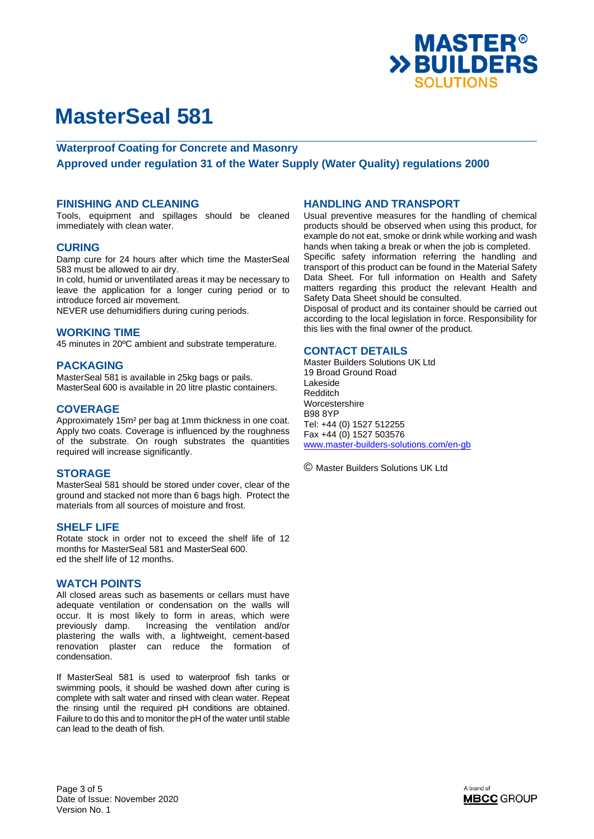

## **Waterproof Coating for Concrete and Masonry**

**Approved under regulation 31 of the Water Supply (Water Quality) regulations 2000** 

### **FINISHING AND CLEANING**

Tools, equipment and spillages should be cleaned immediately with clean water.

### **CURING**

Damp cure for 24 hours after which time the MasterSeal 583 must be allowed to air dry.

In cold, humid or unventilated areas it may be necessary to leave the application for a longer curing period or to introduce forced air movement.

NEVER use dehumidifiers during curing periods.

#### **WORKING TIME**

45 minutes in 20ºC ambient and substrate temperature.

#### **PACKAGING**

MasterSeal 581 is available in 25kg bags or pails. MasterSeal 600 is available in 20 litre plastic containers.

### **COVERAGE**

Approximately 15m² per bag at 1mm thickness in one coat. Apply two coats. Coverage is influenced by the roughness of the substrate. On rough substrates the quantities required will increase significantly.

### **STORAGE**

MasterSeal 581 should be stored under cover, clear of the ground and stacked not more than 6 bags high. Protect the materials from all sources of moisture and frost.

### **SHELF LIFE**

Rotate stock in order not to exceed the shelf life of 12 months for MasterSeal 581 and MasterSeal 600. ed the shelf life of 12 months.

## **WATCH POINTS**

All closed areas such as basements or cellars must have adequate ventilation or condensation on the walls will occur. It is most likely to form in areas, which were previously damp. Increasing the ventilation and/or plastering the walls with, a lightweight, cement-based renovation plaster can reduce the formation of condensation.

If MasterSeal 581 is used to waterproof fish tanks or swimming pools, it should be washed down after curing is complete with salt water and rinsed with clean water. Repeat the rinsing until the required pH conditions are obtained. Failure to do this and to monitor the pH of the water until stable can lead to the death of fish.

#### **HANDLING AND TRANSPORT**

Usual preventive measures for the handling of chemical products should be observed when using this product, for example do not eat, smoke or drink while working and wash hands when taking a break or when the job is completed. Specific safety information referring the handling and transport of this product can be found in the Material Safety Data Sheet. For full information on Health and Safety matters regarding this product the relevant Health and Safety Data Sheet should be consulted.

Disposal of product and its container should be carried out according to the local legislation in force. Responsibility for this lies with the final owner of the product.

### **CONTACT DETAILS**

Master Builders Solutions UK Ltd 19 Broad Ground Road Lakeside Redditch Worcestershire B98 8YP Tel: +44 (0) 1527 512255 Fax +44 (0) 1527 503576 www.master-builders-solutions.com/en-gb

© Master Builders Solutions UK Ltd

Page 3 of 5 Date of Issue: November 2020 Version No. 1

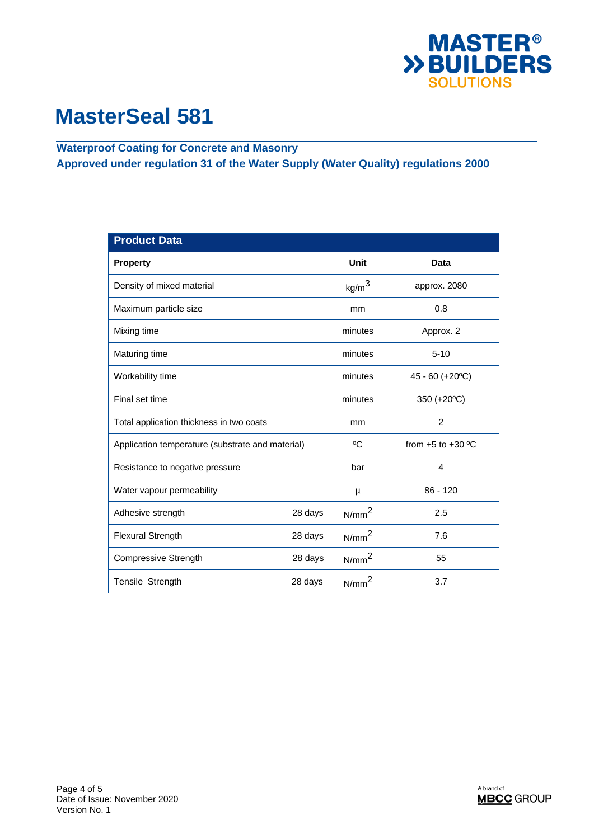

**Waterproof Coating for Concrete and Masonry Approved under regulation 31 of the Water Supply (Water Quality) regulations 2000** 

| <b>Product Data</b>                              |         |                   |                       |
|--------------------------------------------------|---------|-------------------|-----------------------|
| <b>Property</b>                                  |         | <b>Unit</b>       | Data                  |
| Density of mixed material                        |         | kg/m <sup>3</sup> | approx. 2080          |
| Maximum particle size                            |         | mm                | 0.8                   |
| Mixing time                                      |         | minutes           | Approx. 2             |
| Maturing time                                    |         | minutes           | $5 - 10$              |
| Workability time                                 |         | minutes           | 45 - 60 (+20°C)       |
| Final set time                                   |         | minutes           | 350 (+20°C)           |
| Total application thickness in two coats         |         | mm                | $\overline{2}$        |
| Application temperature (substrate and material) |         | °C                | from $+5$ to $+30$ °C |
| Resistance to negative pressure                  |         | bar               | $\overline{4}$        |
| Water vapour permeability                        |         | μ                 | $86 - 120$            |
| Adhesive strength                                | 28 days | N/mm <sup>2</sup> | 2.5                   |
| <b>Flexural Strength</b>                         | 28 days | N/mm <sup>2</sup> | 7.6                   |
| <b>Compressive Strength</b>                      | 28 days | N/mm <sup>2</sup> | 55                    |
| Tensile Strength                                 | 28 days | N/mm <sup>2</sup> | 3.7                   |